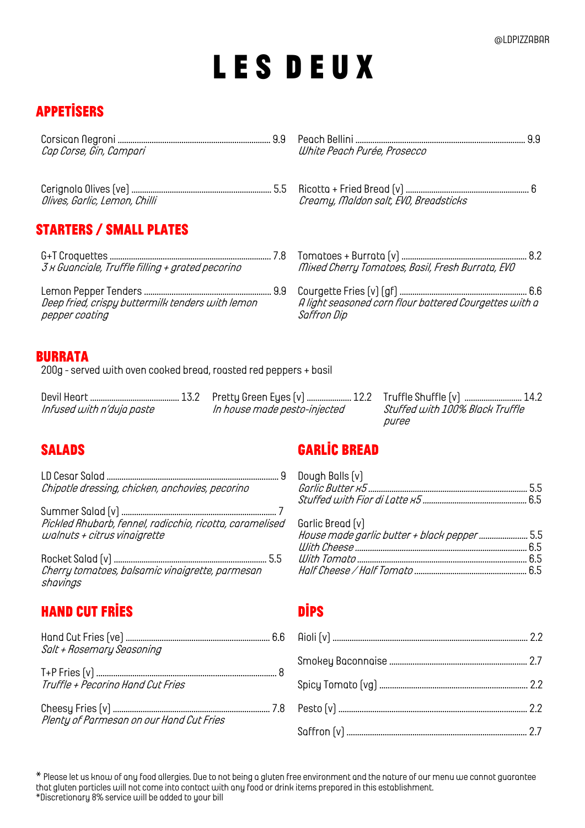# **L e s d e u x**

## **Appetisers**

| Cap Corse, Gin, Campari                          | White Peach Purée, Prosecco                            |
|--------------------------------------------------|--------------------------------------------------------|
| Olives, Garlic, Lemon, Chilli                    | Creamy, Maldon salt, EVO, Breadsticks                  |
| <b>STARTERS / SMALL PLATES</b>                   |                                                        |
|                                                  |                                                        |
| 3 x Guanciale, Truffle filling + grated pecorino | Mixed Cherry Tomatoes, Basil, Fresh Burrata, EVO       |
|                                                  |                                                        |
| Deep fried, crispy buttermilk tenders with lemon | A light seasoned corn flour battered Courgettes with a |
| pepper cooting                                   | Saffron Dip                                            |
| .                                                |                                                        |

### Burrata

*200g - served with oven cooked bread, roasted red peppers + basil*

*Infused with n'duja paste In house made pesto-injected Stuffed with 100% Black Truffle* 

*Devil Heart …………………………………… 13.2 Pretty Green Eyes (v) ..………………. 12.2 Truffle Shuffle (v) ..……………………. 14.2 puree*

*LD Cesar Salad ……………………………………………………………………… 9 Dough Balls (v) Chipotle dressing, chicken, anchovies, pecorino Garlic Butter x5 ………………………………………………………………… 5.5*

*Summer Salad (v) …..…….……………………………………………………. 7 Pickled Rhubarb, fennel, radicchio, ricotta, caramelised walnuts <sup>+</sup> citrus vinaigrette*

*Rocket Salad (v) ……………………………………………………………… 5.5 With Tomato …………………………………………………………………….. 6.5 Cherry tomatoes, balsamic vinaigrette, parmesan shavings*

## **Hand cut fries dips**

*Hand Cut Fries (ve) ………………………………………………………..… 6.6 Aioli (v) ..……………………………………………………………………………… 2.2 Salt + Rosemary Seasoning*

*T+P Fries (v) ..………………………………………………..…………………...... 8 Truffle + Pecorino Hand Cut Fries Spicy Tomato (vg) ..………………………………………………………….. 2.2*

*Cheesy Fries (v) ..……………………………………………………………… 7.8 Pesto (v) …………………………………………………………………………..… 2.2 Plenty of Parmesan on our Hand Cut Fries*

## **Salads Garlic Bread**

| Dough Bolls [v]                                                  |  |
|------------------------------------------------------------------|--|
| Garlic Bread [v]<br>House mode gorlic butter + block pepper  5.5 |  |

*\* Please let us know of any food allergies. Due to not being a gluten free environment and the nature of our menu we cannot guarantee that gluten particles will not come into contact with any food or drink items prepared in this establishment. \*Discretionary 8% service will be added to your bill*